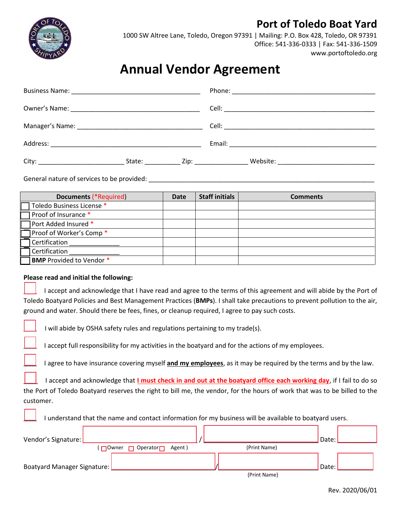## **Port of Toledo Boat Yard**



1000 SW Altree Lane, Toledo, Oregon 97391 | Mailing: P.O. Box 428, Toledo, OR 97391 Office: 541-336-0333 | Fax: 541-336-1509 www.portoftoledo.org

## **Annual Vendor Agreement**

|  |  | State: <u>Zip: Zip: Website:</u> 2009. Newslette: 2009. Newslette: 2009. Newslette: 2009. Newslette: 2009. Newslette: 2009. Newslette: 2009. Newslette: 2009. Newslette: 2009. Newslette: 2009. Newslette: 2009. Newslette: 2009. N |
|--|--|-------------------------------------------------------------------------------------------------------------------------------------------------------------------------------------------------------------------------------------|

General nature of services to be provided:

| <b>Documents (*Required)</b> | Date | <b>Staff initials</b> | <b>Comments</b> |
|------------------------------|------|-----------------------|-----------------|
| Toledo Business License *    |      |                       |                 |
| Proof of Insurance *         |      |                       |                 |
| Port Added Insured *         |      |                       |                 |
| Proof of Worker's Comp *     |      |                       |                 |
| Certification                |      |                       |                 |
| Certification                |      |                       |                 |
| BMP Provided to Vendor *     |      |                       |                 |

## **Please read and initial the following:**

I accept and acknowledge that I have read and agree to the terms of this agreement and will abide by the Port of Toledo Boatyard Policies and Best Management Practices (**BMPs**). I shall take precautions to prevent pollution to the air, ground and water. Should there be fees, fines, or cleanup required, I agree to pay such costs.

I will abide by OSHA safety rules and regulations pertaining to my trade(s).

I accept full responsibility for my activities in the boatyard and for the actions of my employees.

I agree to have insurance covering myself and my employees, as it may be required by the terms and by the law.

I accept and acknowledge that **I must check in and out at the boatyard office each working day**, if I fail to do so the Port of Toledo Boatyard reserves the right to bill me, the vendor, for the hours of work that was to be billed to the customer.

I understand that the name and contact information for my business will be available to boatyard users.

| Vendor's Signature:           |                                                  |                                                                                                                                                                                                                                                                                                                                                         | Date: |
|-------------------------------|--------------------------------------------------|---------------------------------------------------------------------------------------------------------------------------------------------------------------------------------------------------------------------------------------------------------------------------------------------------------------------------------------------------------|-------|
|                               | $\Box$ Operator $\Box$<br>Agent)<br>$\Box$ Owner | (Print Name)                                                                                                                                                                                                                                                                                                                                            |       |
| Boatyard Manager Signature: L |                                                  |                                                                                                                                                                                                                                                                                                                                                         | Date: |
|                               |                                                  | $\int \frac{1}{2}x^2 + \frac{1}{2}x^2 + \frac{1}{2}x^2 + \frac{1}{2}x^2 + \frac{1}{2}x^2 + \frac{1}{2}x^2 + \frac{1}{2}x^2 + \frac{1}{2}x^2 + \frac{1}{2}x^2 + \frac{1}{2}x^2 + \frac{1}{2}x^2 + \frac{1}{2}x^2 + \frac{1}{2}x^2 + \frac{1}{2}x^2 + \frac{1}{2}x^2 + \frac{1}{2}x^2 + \frac{1}{2}x^2 + \frac{1}{2}x^2 + \frac{1}{2}x^2 + \frac{1}{2}x^$ |       |